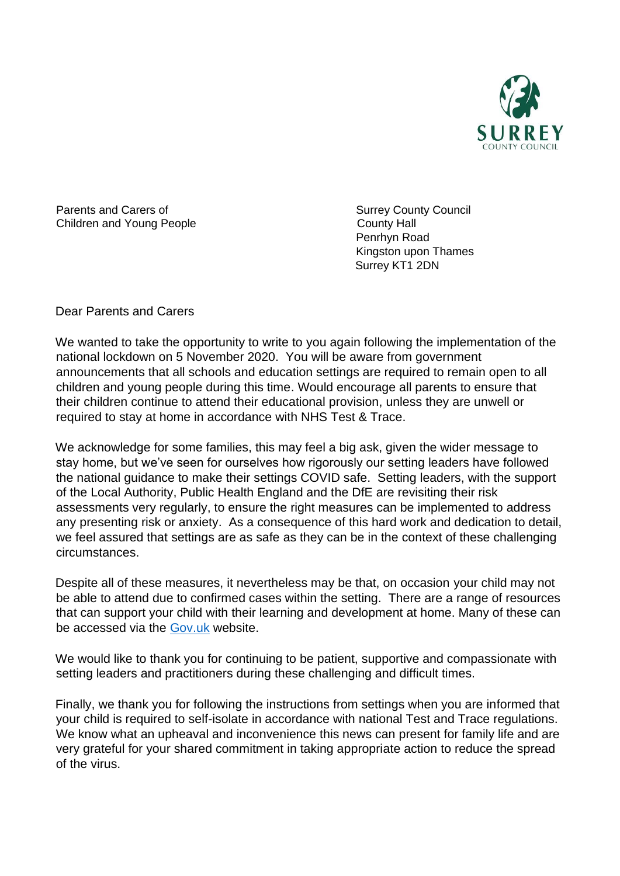

Parents and Carers of Surrey County Council Children and Young People County Hall

Penrhyn Road Kingston upon Thames Surrey KT1 2DN

Dear Parents and Carers

We wanted to take the opportunity to write to you again following the implementation of the national lockdown on 5 November 2020. You will be aware from government announcements that all schools and education settings are required to remain open to all children and young people during this time. Would encourage all parents to ensure that their children continue to attend their educational provision, unless they are unwell or required to stay at home in accordance with NHS Test & Trace.

We acknowledge for some families, this may feel a big ask, given the wider message to stay home, but we've seen for ourselves how rigorously our setting leaders have followed the national guidance to make their settings COVID safe. Setting leaders, with the support of the Local Authority, Public Health England and the DfE are revisiting their risk assessments very regularly, to ensure the right measures can be implemented to address any presenting risk or anxiety. As a consequence of this hard work and dedication to detail, we feel assured that settings are as safe as they can be in the context of these challenging circumstances.

Despite all of these measures, it nevertheless may be that, on occasion your child may not be able to attend due to confirmed cases within the setting. There are a range of resources that can support your child with their learning and development at home. Many of these can be accessed via the [Gov.uk](https://www.gov.uk/guidance/help-children-aged-2-to-4-to-learn-at-home-during-coronavirus-covid-19) website.

We would like to thank you for continuing to be patient, supportive and compassionate with setting leaders and practitioners during these challenging and difficult times.

Finally, we thank you for following the instructions from settings when you are informed that your child is required to self-isolate in accordance with national Test and Trace regulations. We know what an upheaval and inconvenience this news can present for family life and are very grateful for your shared commitment in taking appropriate action to reduce the spread of the virus.